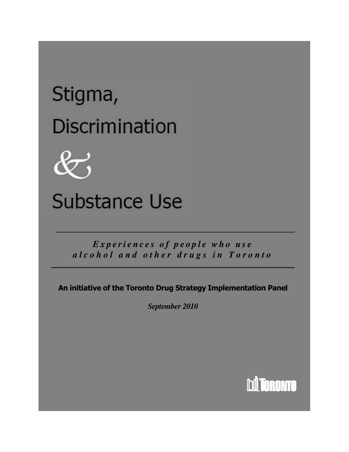# Stigma, **Discrimination**



Substance Use

*Experiences of people who use a l c o h o l a n d o t h e r d r u g s i n T o r o n t o*

An initiative of the Toronto Drug Strategy Implementation Panel

*September 2010*

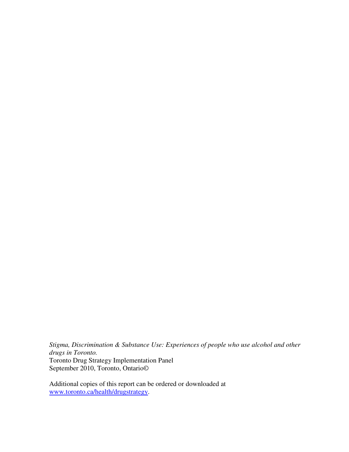*Stigma, Discrimination & Substance Use: Experiences of people who use alcohol and other drugs in Toronto.*  Toronto Drug Strategy Implementation Panel September 2010, Toronto, Ontario©

Additional copies of this report can be ordered or downloaded at [www.toronto.ca/health/drugstrategy.](http://www1.toronto.ca/wps/portal/contentonly?vgnextoid=2c2bb622cce32410VgnVCM10000071d60f89RCRD)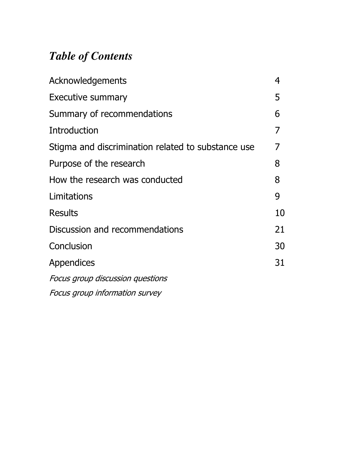# *Table of Contents*

| Acknowledgements                                   | 4  |
|----------------------------------------------------|----|
| Executive summary                                  | 5  |
| Summary of recommendations                         | 6  |
| <b>Introduction</b>                                | 7  |
| Stigma and discrimination related to substance use | 7  |
| Purpose of the research                            | 8  |
| How the research was conducted                     | 8  |
| Limitations                                        | 9  |
| <b>Results</b>                                     | 10 |
| Discussion and recommendations                     | 21 |
| Conclusion                                         | 30 |
| Appendices                                         | 31 |
| Focus group discussion questions                   |    |
| Focus group information survey                     |    |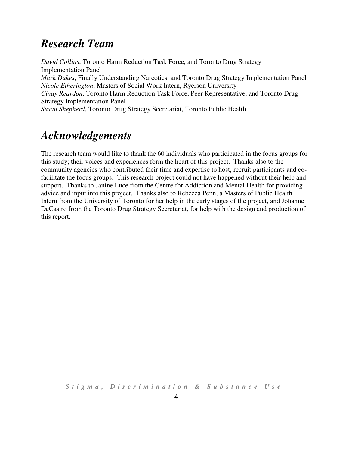### <span id="page-3-0"></span>*Research Team*

*David Collins*, Toronto Harm Reduction Task Force, and Toronto Drug Strategy Implementation Panel *Mark Dukes*, Finally Understanding Narcotics, and Toronto Drug Strategy Implementation Panel *Nicole Etherington*, Masters of Social Work Intern, Ryerson University *Cindy Reardon*, Toronto Harm Reduction Task Force, Peer Representative, and Toronto Drug Strategy Implementation Panel *Susan Shepherd*, Toronto Drug Strategy Secretariat, Toronto Public Health

# *Acknowledgements*

The research team would like to thank the 60 individuals who participated in the focus groups for this study; their voices and experiences form the heart of this project. Thanks also to the community agencies who contributed their time and expertise to host, recruit participants and cofacilitate the focus groups. This research project could not have happened without their help and support. Thanks to Janine Luce from the Centre for Addiction and Mental Health for providing advice and input into this project. Thanks also to Rebecca Penn, a Masters of Public Health Intern from the University of Toronto for her help in the early stages of the project, and Johanne DeCastro from the Toronto Drug Strategy Secretariat, for help with the design and production of this report.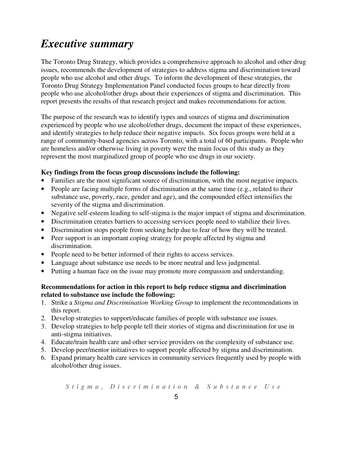# <span id="page-4-0"></span>*Executive summary*

The Toronto Drug Strategy, which provides a comprehensive approach to alcohol and other drug issues, recommends the development of strategies to address stigma and discrimination toward people who use alcohol and other drugs. To inform the development of these strategies, the Toronto Drug Strategy Implementation Panel conducted focus groups to hear directly from people who use alcohol/other drugs about their experiences of stigma and discrimination. This report presents the results of that research project and makes recommendations for action.

The purpose of the research was to identify types and sources of stigma and discrimination experienced by people who use alcohol/other drugs, document the impact of these experiences, and identify strategies to help reduce their negative impacts. Six focus groups were held at a range of community-based agencies across Toronto, with a total of 60 participants. People who are homeless and/or otherwise living in poverty were the main focus of this study as they represent the most marginalized group of people who use drugs in our society.

#### **Key findings from the focus group discussions include the following:**

- Families are the most significant source of discrimination, with the most negative impacts.
- People are facing multiple forms of discrimination at the same time (e.g., related to their substance use, poverty, race, gender and age), and the compounded effect intensifies the severity of the stigma and discrimination.
- Negative self-esteem leading to self-stigma is the major impact of stigma and discrimination.
- Discrimination creates barriers to accessing services people need to stabilize their lives.
- Discrimination stops people from seeking help due to fear of how they will be treated.
- Peer support is an important coping strategy for people affected by stigma and discrimination.
- People need to be better informed of their rights to access services.
- Language about substance use needs to be more neutral and less judgmental.
- Putting a human face on the issue may promote more compassion and understanding.

#### **Recommendations for action in this report to help reduce stigma and discrimination related to substance use include the following:**

- 1. Strike a *Stigma and Discrimination Working Group* to implement the recommendations in this report.
- 2. Develop strategies to support/educate families of people with substance use issues.
- 3. Develop strategies to help people tell their stories of stigma and discrimination for use in anti-stigma initiatives.
- 4. Educate/train health care and other service providers on the complexity of substance use.
- 5. Develop peer/mentor initiatives to support people affected by stigma and discrimination.
- 6. Expand primary health care services in community services frequently used by people with alcohol/other drug issues.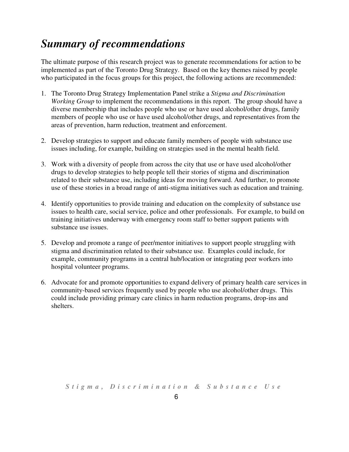# <span id="page-5-0"></span>*Summary of recommendations*

The ultimate purpose of this research project was to generate recommendations for action to be implemented as part of the Toronto Drug Strategy. Based on the key themes raised by people who participated in the focus groups for this project, the following actions are recommended:

- 1. The Toronto Drug Strategy Implementation Panel strike a *Stigma and Discrimination Working Group* to implement the recommendations in this report. The group should have a diverse membership that includes people who use or have used alcohol/other drugs, family members of people who use or have used alcohol/other drugs, and representatives from the areas of prevention, harm reduction, treatment and enforcement.
- 2. Develop strategies to support and educate family members of people with substance use issues including, for example, building on strategies used in the mental health field.
- 3. Work with a diversity of people from across the city that use or have used alcohol/other drugs to develop strategies to help people tell their stories of stigma and discrimination related to their substance use, including ideas for moving forward. And further, to promote use of these stories in a broad range of anti-stigma initiatives such as education and training.
- 4. Identify opportunities to provide training and education on the complexity of substance use issues to health care, social service, police and other professionals. For example, to build on training initiatives underway with emergency room staff to better support patients with substance use issues.
- 5. Develop and promote a range of peer/mentor initiatives to support people struggling with stigma and discrimination related to their substance use. Examples could include, for example, community programs in a central hub/location or integrating peer workers into hospital volunteer programs.
- 6. Advocate for and promote opportunities to expand delivery of primary health care services in community-based services frequently used by people who use alcohol/other drugs. This could include providing primary care clinics in harm reduction programs, drop-ins and shelters.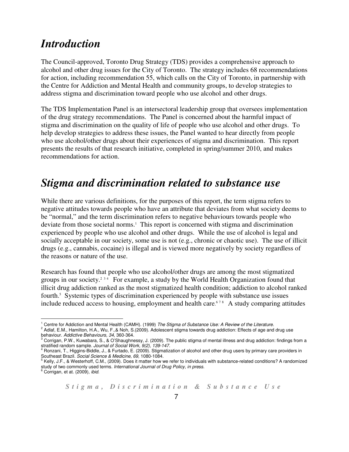### <span id="page-6-0"></span>*Introduction*

The Council-approved, Toronto Drug Strategy (TDS) provides a comprehensive approach to alcohol and other drug issues for the City of Toronto. The strategy includes 68 recommendations for action, including recommendation 55, which calls on the City of Toronto, in partnership with the Centre for Addiction and Mental Health and community groups, to develop strategies to address stigma and discrimination toward people who use alcohol and other drugs.

The TDS Implementation Panel is an intersectoral leadership group that oversees implementation of the drug strategy recommendations. The Panel is concerned about the harmful impact of stigma and discrimination on the quality of life of people who use alcohol and other drugs. To help develop strategies to address these issues, the Panel wanted to hear directly from people who use alcohol/other drugs about their experiences of stigma and discrimination. This report presents the results of that research initiative, completed in spring/summer 2010, and makes recommendations for action.

## *Stigma and discrimination related to substance use*

While there are various definitions, for the purposes of this report, the term stigma refers to negative attitudes towards people who have an attribute that deviates from what society deems to be "normal," and the term discrimination refers to negative behaviours towards people who deviate from those societal norms.<sup>1</sup> This report is concerned with stigma and discrimination experienced by people who use alcohol and other drugs. While the use of alcohol is legal and socially acceptable in our society, some use is not (e.g., chronic or chaotic use). The use of illicit drugs (e.g., cannabis, cocaine) is illegal and is viewed more negatively by society regardless of the reasons or nature of the use.

Research has found that people who use alcohol/other drugs are among the most stigmatized groups in our society.<sup>2 34</sup> For example, a study by the World Health Organization found that illicit drug addiction ranked as the most stigmatized health condition; addiction to alcohol ranked fourth.<sup>5</sup> Systemic types of discrimination experienced by people with substance use issues include reduced access to housing, employment and health care.<sup>678</sup> A study comparing attitudes

<sup>&</sup>lt;sup>1</sup> Centre for Addiction and Mental Health (CAMH). (1999) The Stigma of Substance Use: A Review of the Literature.

 $^2$  Adlaf, E.M., Hamilton, H.A., Wu, F.,& Noh, S.(2009). Adolescent stigma towards drug addiction: Effects of age and drug use

behaviour. *Addictive Behaviours, 34,* 360-364.<br><sup>3</sup> Corrigan, P.W., Kuwabara, S., & O'Shaughnessy, J. (2009). The public stigma of mental illness and drug addiction: findings from a stratified random sample. Journal of Social Work, 9(2), 139-147.

<sup>4</sup> Ronzani, T., Higgins-Biddle, J., & Furtado, E. (2009). Stigmatization of alcohol and other drug users by primary care providers in Southeast Brazil. *Social Science & Medicine, 69,* 1080-1084.<br><sup>5</sup> Kelly, J.F., & Westerhoff, C.M., (2009). Does it matter how we refer to individuals with substance-related conditions? A randomized

study of two commonly used terms. *International Journal of Drug Policy, in press.*<br><sup>6</sup> Corrigan, et at. (2009), *ibid.*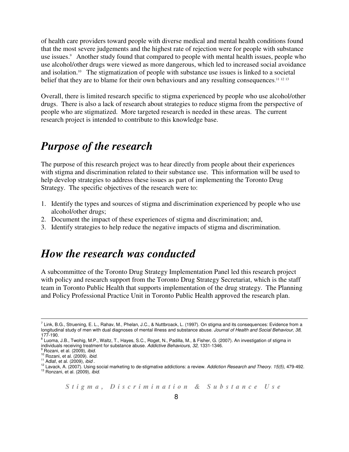<span id="page-7-0"></span>of health care providers toward people with diverse medical and mental health conditions found that the most severe judgements and the highest rate of rejection were for people with substance use issues.<sup>9</sup> Another study found that compared to people with mental health issues, people who use alcohol/other drugs were viewed as more dangerous, which led to increased social avoidance and isolation.<sup>10</sup> The stigmatization of people with substance use issues is linked to a societal belief that they are to blame for their own behaviours and any resulting consequences.<sup>11 12 13</sup>

Overall, there is limited research specific to stigma experienced by people who use alcohol/other drugs. There is also a lack of research about strategies to reduce stigma from the perspective of people who are stigmatized. More targeted research is needed in these areas. The current research project is intended to contribute to this knowledge base.

### *Purpose of the research*

The purpose of this research project was to hear directly from people about their experiences with stigma and discrimination related to their substance use. This information will be used to help develop strategies to address these issues as part of implementing the Toronto Drug Strategy. The specific objectives of the research were to:

- 1. Identify the types and sources of stigma and discrimination experienced by people who use alcohol/other drugs;
- 2. Document the impact of these experiences of stigma and discrimination; and,
- 3. Identify strategies to help reduce the negative impacts of stigma and discrimination.

### *How the research was conducted*

A subcommittee of the Toronto Drug Strategy Implementation Panel led this research project with policy and research support from the Toronto Drug Strategy Secretariat, which is the staff team in Toronto Public Health that supports implementation of the drug strategy. The Planning and Policy Professional Practice Unit in Toronto Public Health approved the research plan.

<sup>7</sup> Link, B.G., Struening, E. L., Rahav, M., Phelan, J.C., & Nuttbroack, L. (1997). On stigma and its consequences: Evidence from a longitudinal study of men with dual diagnoses of mental illness and substance abuse. Journal of Health and Social Behaviour, 38,

<sup>177-190.&</sup>lt;br><sup>8</sup> Luoma, J.B., Twohig, M.P., Waltz, T., Hayes, S.C., Roget, N., Padilla, M., & Fisher, G. (2007). An investigation of stigma in individuals receiving treatment for substance abuse. Addictive Behaviours, 32, 1331-1346.

<sup>&</sup>lt;sup>9</sup> Rozani, et al. (2009), *ibid.* 

<sup>&</sup>lt;sup>10</sup> Rozani, et al. (2009). ibid.

 $11$  Adlaf, et al. (2009), *ibid* .

<sup>&</sup>lt;sup>12</sup> Lavack, A. (2007). Using social marketing to de-stigmatixe addictions: a review. Addiction Research and Theory. 15(5), 479-492. <sup>13</sup> Ronzani, et al. (2009), *ibid.*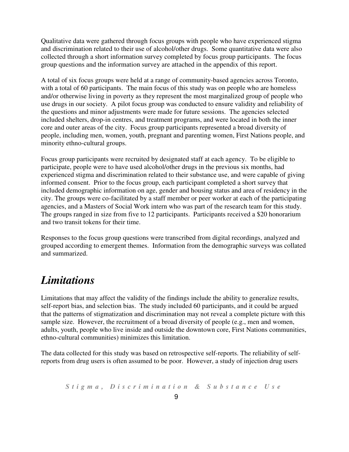<span id="page-8-0"></span>Qualitative data were gathered through focus groups with people who have experienced stigma and discrimination related to their use of alcohol/other drugs. Some quantitative data were also collected through a short information survey completed by focus group participants. The focus group questions and the information survey are attached in the appendix of this report.

A total of six focus groups were held at a range of community-based agencies across Toronto, with a total of 60 participants. The main focus of this study was on people who are homeless and/or otherwise living in poverty as they represent the most marginalized group of people who use drugs in our society. A pilot focus group was conducted to ensure validity and reliability of the questions and minor adjustments were made for future sessions. The agencies selected included shelters, drop-in centres, and treatment programs, and were located in both the inner core and outer areas of the city. Focus group participants represented a broad diversity of people, including men, women, youth, pregnant and parenting women, First Nations people, and minority ethno-cultural groups.

Focus group participants were recruited by designated staff at each agency. To be eligible to participate, people were to have used alcohol/other drugs in the previous six months, had experienced stigma and discrimination related to their substance use, and were capable of giving informed consent. Prior to the focus group, each participant completed a short survey that included demographic information on age, gender and housing status and area of residency in the city. The groups were co-facilitated by a staff member or peer worker at each of the participating agencies, and a Masters of Social Work intern who was part of the research team for this study. The groups ranged in size from five to 12 participants. Participants received a \$20 honorarium and two transit tokens for their time.

Responses to the focus group questions were transcribed from digital recordings, analyzed and grouped according to emergent themes. Information from the demographic surveys was collated and summarized.

### *Limitations*

Limitations that may affect the validity of the findings include the ability to generalize results, self-report bias, and selection bias. The study included 60 participants, and it could be argued that the patterns of stigmatization and discrimination may not reveal a complete picture with this sample size. However, the recruitment of a broad diversity of people (e.g., men and women, adults, youth, people who live inside and outside the downtown core, First Nations communities, ethno-cultural communities) minimizes this limitation.

The data collected for this study was based on retrospective self-reports. The reliability of selfreports from drug users is often assumed to be poor. However, a study of injection drug users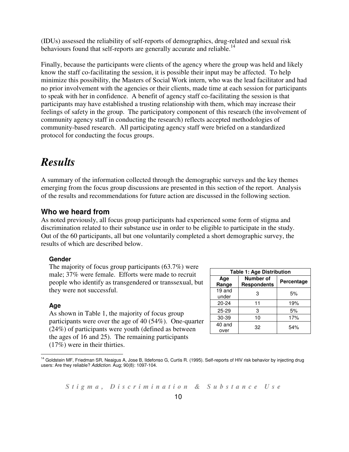<span id="page-9-0"></span>(IDUs) assessed the reliability of self-reports of demographics, drug-related and sexual risk behaviours found that self-reports are generally accurate and reliable.<sup>14</sup>

Finally, because the participants were clients of the agency where the group was held and likely know the staff co-facilitating the session, it is possible their input may be affected. To help minimize this possibility, the Masters of Social Work intern, who was the lead facilitator and had no prior involvement with the agencies or their clients, made time at each session for participants to speak with her in confidence. A benefit of agency staff co-facilitating the session is that participants may have established a trusting relationship with them, which may increase their feelings of safety in the group. The participatory component of this research (the involvement of community agency staff in conducting the research) reflects accepted methodologies of community-based research. All participating agency staff were briefed on a standardized protocol for conducting the focus groups.

### *Results*

A summary of the information collected through the demographic surveys and the key themes emerging from the focus group discussions are presented in this section of the report. Analysis of the results and recommendations for future action are discussed in the following section.

#### **Who we heard from**

As noted previously, all focus group participants had experienced some form of stigma and discrimination related to their substance use in order to be eligible to participate in the study. Out of the 60 participants, all but one voluntarily completed a short demographic survey, the results of which are described below.

#### **Gender**

The majority of focus group participants (63.7%) were male; 37% were female. Efforts were made to recruit people who identify as transgendered or transsexual, but they were not successful.

#### **Age**

As shown in Table 1, the majority of focus group participants were over the age of 40 (54%). One-quarter (24%) of participants were youth (defined as between the ages of 16 and 25). The remaining participants (17%) were in their thirties.

| <b>Table 1: Age Distribution</b> |                                        |            |  |
|----------------------------------|----------------------------------------|------------|--|
| Age<br>Range                     | <b>Number of</b><br><b>Respondents</b> | Percentage |  |
| 19 and<br>under                  | З                                      | 5%         |  |
| $20 - 24$                        | 11                                     | 19%        |  |
| $25 - 29$                        | 3                                      | 5%         |  |
| 30-39                            | 10                                     | 17%        |  |
| 40 and<br>over                   | 32                                     | 54%        |  |

<sup>&</sup>lt;sup>14</sup> Goldstein MF, Friedman SR, Neaigus A, Jose B, Ildefonso G, Curtis R. (1995). Self-reports of HIV risk behavior by injecting drug users: Are they reliable? Addiction. Aug; 90(8): 1097-104.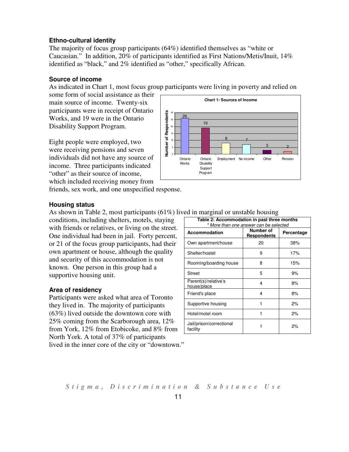#### **Ethno-cultural identity**

The majority of focus group participants (64%) identified themselves as "white or Caucasian." In addition, 20% of participants identified as First Nations/Metis/Inuit, 14% identified as "black," and 2% identified as "other," specifically African.

#### **Source of income**

As indicated in Chart 1, most focus group participants were living in poverty and relied on

some form of social assistance as their main source of income. Twenty-six participants were in receipt of Ontario Works, and 19 were in the Ontario Disability Support Program.

Eight people were employed, two were receiving pensions and seven individuals did not have any source of income. Three participants indicated "other" as their source of income, which included receiving money from



friends, sex work, and one unspecified response.

#### **Housing status**

As shown in Table 2, most participants (61%) lived in marginal or unstable housing

conditions, including shelters, motels, staying with friends or relatives, or living on the street. One individual had been in jail. Forty percent, or 21 of the focus group participants, had their own apartment or house, although the quality and security of this accommodation is not known. One person in this group had a supportive housing unit.

#### **Area of residency**

Participants were asked what area of Toronto they lived in. The majority of participants (63%) lived outside the downtown core with 25% coming from the Scarborough area, 12% from York, 12% from Etobicoke, and 8% from North York. A total of 37% of participants lived in the inner core of the city or "downtown."

| Table 2: Accommodation in past three months<br>* More than one answer can be selected |                                 |            |
|---------------------------------------------------------------------------------------|---------------------------------|------------|
| Accommodation                                                                         | Number of<br><b>Respondents</b> | Percentage |
| Own apartment/house                                                                   | 20                              | 38%        |
| Shelter/hostel                                                                        | 9                               | 17%        |
| Rooming/boarding house                                                                | 8                               | 15%        |
| Street                                                                                | 5                               | 9%         |
| Parent(s)/relative's<br>house/place                                                   | 4                               | 8%         |
| Friend's place                                                                        | 4                               | 8%         |
| Supportive housing                                                                    |                                 | 2%         |
| Hotel/motel room                                                                      |                                 | 2%         |
| Jail/prison/correctional<br>facility                                                  |                                 | 2%         |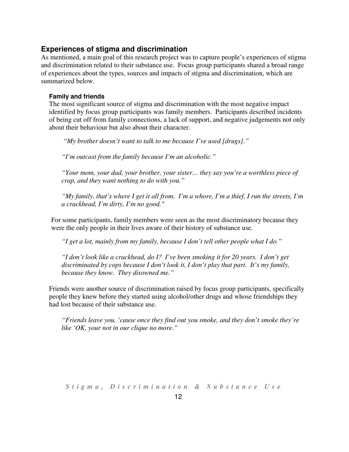#### **Experiences of stigma and discrimination**

As mentioned, a main goal of this research project was to capture people's experiences of stigma and discrimination related to their substance use. Focus group participants shared a broad range of experiences about the types, sources and impacts of stigma and discrimination, which are summarized below.

#### **Family and friends**

The most significant source of stigma and discrimination with the most negative impact identified by focus group participants was family members. Participants described incidents of being cut off from family connections, a lack of support, and negative judgements not only about their behaviour but also about their character.

*"My brother doesn't want to talk to me because I've used [drugs]."* 

*"I'm outcast from the family because I'm an alcoholic."* 

*"Your mom, your dad, your brother, your sister… they say you're a worthless piece of crap, and they want nothing to do with you."* 

*"My family, that's where I get it all from. I'm a whore, I'm a thief, I run the streets, I'm a crackhead, I'm dirty, I'm no good."* 

For some participants, family members were seen as the most discriminatory because they were the only people in their lives aware of their history of substance use.

*"I get a lot, mainly from my family, because I don't tell other people what I do."* 

*"I don't look like a crackhead, do I? I've been smoking it for 20 years. I don't get discriminated by cops because I don't look it, I don't play that part. It's my family, because they know. They disowned me."* 

Friends were another source of discrimination raised by focus group participants, specifically people they knew before they started using alcohol/other drugs and whose friendships they had lost because of their substance use.

*"Friends leave you, 'cause once they find out you smoke, and they don't smoke they're like 'OK, your not in our clique no more."*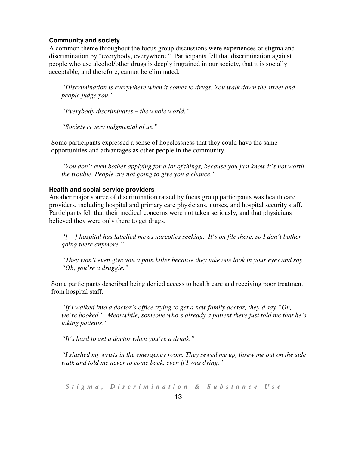#### **Community and society**

A common theme throughout the focus group discussions were experiences of stigma and discrimination by "everybody, everywhere." Participants felt that discrimination against people who use alcohol/other drugs is deeply ingrained in our society, that it is socially acceptable, and therefore, cannot be eliminated.

*"Discrimination is everywhere when it comes to drugs. You walk down the street and people judge you."* 

*"Everybody discriminates – the whole world."* 

*"Society is very judgmental of us."* 

Some participants expressed a sense of hopelessness that they could have the same opportunities and advantages as other people in the community.

*"You don't even bother applying for a lot of things, because you just know it's not worth the trouble. People are not going to give you a chance."* 

#### **Health and social service providers**

Another major source of discrimination raised by focus group participants was health care providers, including hospital and primary care physicians, nurses, and hospital security staff. Participants felt that their medical concerns were not taken seriously, and that physicians believed they were only there to get drugs.

*"[---] hospital has labelled me as narcotics seeking. It's on file there, so I don't bother going there anymore."* 

*"They won't even give you a pain killer because they take one look in your eyes and say "Oh, you're a druggie."* 

Some participants described being denied access to health care and receiving poor treatment from hospital staff.

*"If I walked into a doctor's office trying to get a new family doctor, they'd say "Oh, we're booked". Meanwhile, someone who's already a patient there just told me that he's taking patients."* 

*"It's hard to get a doctor when you're a drunk."* 

*"I slashed my wrists in the emergency room. They sewed me up, threw me out on the side walk and told me never to come back, even if I was dying."*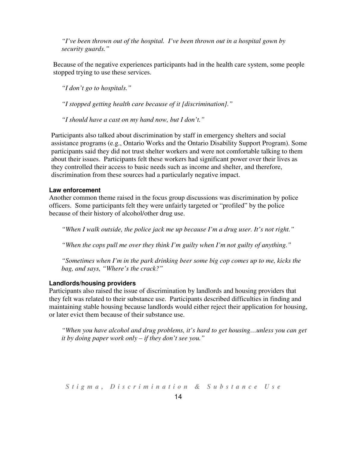*"I've been thrown out of the hospital. I've been thrown out in a hospital gown by security guards."* 

Because of the negative experiences participants had in the health care system, some people stopped trying to use these services.

*"I don't go to hospitals."* 

*"I stopped getting health care because of it [discrimination]."* 

*"I should have a cast on my hand now, but I don't."* 

Participants also talked about discrimination by staff in emergency shelters and social assistance programs (e.g., Ontario Works and the Ontario Disability Support Program). Some participants said they did not trust shelter workers and were not comfortable talking to them about their issues. Participants felt these workers had significant power over their lives as they controlled their access to basic needs such as income and shelter, and therefore, discrimination from these sources had a particularly negative impact.

#### **Law enforcement**

Another common theme raised in the focus group discussions was discrimination by police officers. Some participants felt they were unfairly targeted or "profiled" by the police because of their history of alcohol/other drug use.

*"When I walk outside, the police jack me up because I'm a drug user. It's not right."* 

*"When the cops pull me over they think I'm guilty when I'm not guilty of anything."* 

*"Sometimes when I'm in the park drinking beer some big cop comes up to me, kicks the bag, and says, "Where's the crack?"* 

#### **Landlords/housing providers**

Participants also raised the issue of discrimination by landlords and housing providers that they felt was related to their substance use. Participants described difficulties in finding and maintaining stable housing because landlords would either reject their application for housing, or later evict them because of their substance use.

*"When you have alcohol and drug problems, it's hard to get housing…unless you can get it by doing paper work only – if they don't see you."*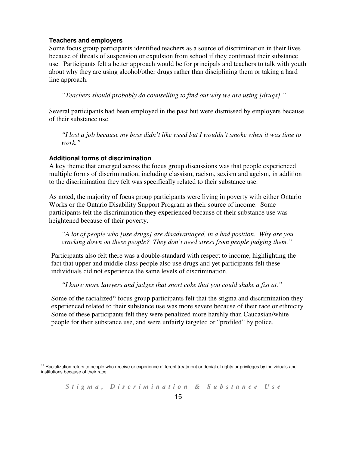#### **Teachers and employers**

Some focus group participants identified teachers as a source of discrimination in their lives because of threats of suspension or expulsion from school if they continued their substance use. Participants felt a better approach would be for principals and teachers to talk with youth about why they are using alcohol/other drugs rather than disciplining them or taking a hard line approach.

*"Teachers should probably do counselling to find out why we are using [drugs]."* 

Several participants had been employed in the past but were dismissed by employers because of their substance use.

*"I lost a job because my boss didn't like weed but I wouldn't smoke when it was time to work."* 

#### **Additional forms of discrimination**

A key theme that emerged across the focus group discussions was that people experienced multiple forms of discrimination, including classism, racism, sexism and ageism, in addition to the discrimination they felt was specifically related to their substance use.

As noted, the majority of focus group participants were living in poverty with either Ontario Works or the Ontario Disability Support Program as their source of income. Some participants felt the discrimination they experienced because of their substance use was heightened because of their poverty.

*"A lot of people who [use drugs] are disadvantaged, in a bad position. Why are you cracking down on these people? They don't need stress from people judging them."* 

Participants also felt there was a double-standard with respect to income, highlighting the fact that upper and middle class people also use drugs and yet participants felt these individuals did not experience the same levels of discrimination.

*"I know more lawyers and judges that snort coke that you could shake a fist at."* 

Some of the racialized<sup>15</sup> focus group participants felt that the stigma and discrimination they experienced related to their substance use was more severe because of their race or ethnicity. Some of these participants felt they were penalized more harshly than Caucasian/white people for their substance use, and were unfairly targeted or "profiled" by police.

<sup>&</sup>lt;sup>15</sup> Racialization refers to people who receive or experience different treatment or denial of rights or privileges by individuals and institutions because of their race.

*S t i g m a , D i s c r i m i n a t i o n & S u b s t a n c e U s e*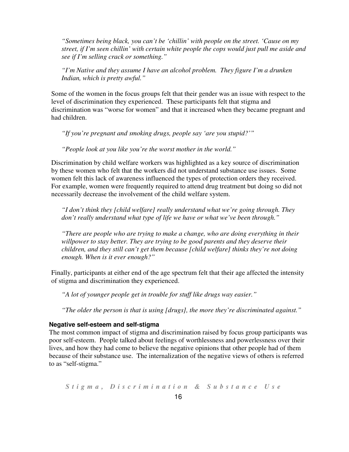*"Sometimes being black, you can't be 'chillin' with people on the street. 'Cause on my street, if I'm seen chillin' with certain white people the cops would just pull me aside and see if I'm selling crack or something."* 

*"I'm Native and they assume I have an alcohol problem. They figure I'm a drunken Indian, which is pretty awful."* 

Some of the women in the focus groups felt that their gender was an issue with respect to the level of discrimination they experienced. These participants felt that stigma and discrimination was "worse for women" and that it increased when they became pregnant and had children.

*"If you're pregnant and smoking drugs, people say 'are you stupid?'"* 

*"People look at you like you're the worst mother in the world."* 

Discrimination by child welfare workers was highlighted as a key source of discrimination by these women who felt that the workers did not understand substance use issues. Some women felt this lack of awareness influenced the types of protection orders they received. For example, women were frequently required to attend drug treatment but doing so did not necessarily decrease the involvement of the child welfare system.

*"I don't think they [child welfare] really understand what we're going through. They don't really understand what type of life we have or what we've been through."* 

*"There are people who are trying to make a change, who are doing everything in their willpower to stay better. They are trying to be good parents and they deserve their children, and they still can't get them because [child welfare] thinks they're not doing enough. When is it ever enough?"* 

Finally, participants at either end of the age spectrum felt that their age affected the intensity of stigma and discrimination they experienced.

*"A lot of younger people get in trouble for stuff like drugs way easier."* 

*"The older the person is that is using [drugs], the more they're discriminated against."* 

#### **Negative self-esteem and self-stigma**

The most common impact of stigma and discrimination raised by focus group participants was poor self-esteem. People talked about feelings of worthlessness and powerlessness over their lives, and how they had come to believe the negative opinions that other people had of them because of their substance use. The internalization of the negative views of others is referred to as "self-stigma."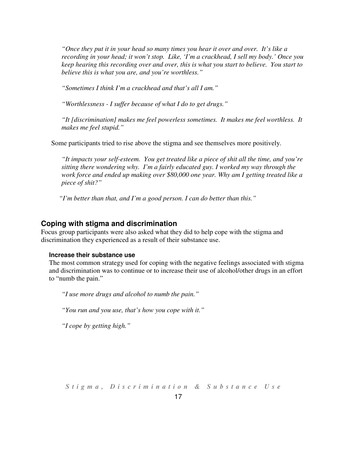*"Once they put it in your head so many times you hear it over and over. It's like a recording in your head; it won't stop. Like, 'I'm a crackhead, I sell my body.' Once you keep hearing this recording over and over, this is what you start to believe. You start to believe this is what you are, and you're worthless."* 

*"Sometimes I think I'm a crackhead and that's all I am."* 

*"Worthlessness - I suffer because of what I do to get drugs."* 

*"It [discrimination] makes me feel powerless sometimes. It makes me feel worthless. It makes me feel stupid."* 

Some participants tried to rise above the stigma and see themselves more positively.

*"It impacts your self-esteem. You get treated like a piece of shit all the time, and you're sitting there wondering why. I'm a fairly educated guy. I worked my way through the work force and ended up making over \$80,000 one year. Why am I getting treated like a piece of shit?"* 

*"I'm better than that, and I'm a good person. I can do better than this."* 

#### **Coping with stigma and discrimination**

Focus group participants were also asked what they did to help cope with the stigma and discrimination they experienced as a result of their substance use.

#### **Increase their substance use**

The most common strategy used for coping with the negative feelings associated with stigma and discrimination was to continue or to increase their use of alcohol/other drugs in an effort to "numb the pain."

*"I use more drugs and alcohol to numb the pain."* 

*"You run and you use, that's how you cope with it."* 

*"I cope by getting high."*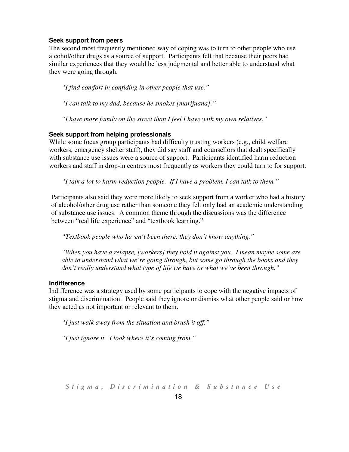#### **Seek support from peers**

The second most frequently mentioned way of coping was to turn to other people who use alcohol/other drugs as a source of support. Participants felt that because their peers had similar experiences that they would be less judgmental and better able to understand what they were going through.

*"I find comfort in confiding in other people that use."* 

*"I can talk to my dad, because he smokes [marijuana]."* 

*"I have more family on the street than I feel I have with my own relatives."* 

#### **Seek support from helping professionals**

While some focus group participants had difficulty trusting workers (e.g., child welfare workers, emergency shelter staff), they did say staff and counsellors that dealt specifically with substance use issues were a source of support. Participants identified harm reduction workers and staff in drop-in centres most frequently as workers they could turn to for support.

*"I talk a lot to harm reduction people. If I have a problem, I can talk to them."* 

Participants also said they were more likely to seek support from a worker who had a history of alcohol/other drug use rather than someone they felt only had an academic understanding of substance use issues. A common theme through the discussions was the difference between "real life experience" and "textbook learning."

*"Textbook people who haven't been there, they don't know anything."* 

*"When you have a relapse, [workers] they hold it against you. I mean maybe some are able to understand what we're going through, but some go through the books and they don't really understand what type of life we have or what we've been through."* 

#### **Indifference**

Indifference was a strategy used by some participants to cope with the negative impacts of stigma and discrimination. People said they ignore or dismiss what other people said or how they acted as not important or relevant to them.

*"I just walk away from the situation and brush it off."* 

*"I just ignore it. I look where it's coming from."*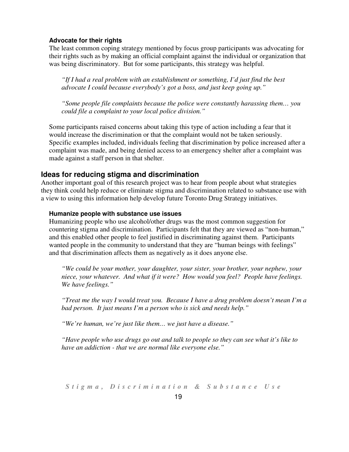#### **Advocate for their rights**

The least common coping strategy mentioned by focus group participants was advocating for their rights such as by making an official complaint against the individual or organization that was being discriminatory. But for some participants, this strategy was helpful.

*"If I had a real problem with an establishment or something, I'd just find the best advocate I could because everybody's got a boss, and just keep going up."* 

*"Some people file complaints because the police were constantly harassing them… you could file a complaint to your local police division."* 

Some participants raised concerns about taking this type of action including a fear that it would increase the discrimination or that the complaint would not be taken seriously. Specific examples included, individuals feeling that discrimination by police increased after a complaint was made, and being denied access to an emergency shelter after a complaint was made against a staff person in that shelter.

#### **Ideas for reducing stigma and discrimination**

Another important goal of this research project was to hear from people about what strategies they think could help reduce or eliminate stigma and discrimination related to substance use with a view to using this information help develop future Toronto Drug Strategy initiatives.

#### **Humanize people with substance use issues**

Humanizing people who use alcohol/other drugs was the most common suggestion for countering stigma and discrimination. Participants felt that they are viewed as "non-human," and this enabled other people to feel justified in discriminating against them. Participants wanted people in the community to understand that they are "human beings with feelings" and that discrimination affects them as negatively as it does anyone else.

*"We could be your mother, your daughter, your sister, your brother, your nephew, your niece, your whatever. And what if it were? How would you feel? People have feelings. We have feelings."* 

*"Treat me the way I would treat you. Because I have a drug problem doesn't mean I'm a bad person. It just means I'm a person who is sick and needs help."* 

*"We're human, we're just like them… we just have a disease."* 

*"Have people who use drugs go out and talk to people so they can see what it's like to have an addiction - that we are normal like everyone else."*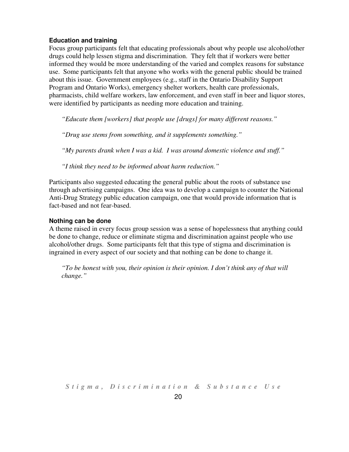#### **Education and training**

Focus group participants felt that educating professionals about why people use alcohol/other drugs could help lessen stigma and discrimination. They felt that if workers were better informed they would be more understanding of the varied and complex reasons for substance use. Some participants felt that anyone who works with the general public should be trained about this issue. Government employees (e.g., staff in the Ontario Disability Support Program and Ontario Works), emergency shelter workers, health care professionals, pharmacists, child welfare workers, law enforcement, and even staff in beer and liquor stores, were identified by participants as needing more education and training.

*"Educate them [workers] that people use [drugs] for many different reasons."* 

*"Drug use stems from something, and it supplements something."* 

*"My parents drank when I was a kid. I was around domestic violence and stuff."* 

*"I think they need to be informed about harm reduction."* 

Participants also suggested educating the general public about the roots of substance use through advertising campaigns. One idea was to develop a campaign to counter the National Anti-Drug Strategy public education campaign, one that would provide information that is fact-based and not fear-based.

#### **Nothing can be done**

A theme raised in every focus group session was a sense of hopelessness that anything could be done to change, reduce or eliminate stigma and discrimination against people who use alcohol/other drugs. Some participants felt that this type of stigma and discrimination is ingrained in every aspect of our society and that nothing can be done to change it.

*"To be honest with you, their opinion is their opinion. I don't think any of that will change."*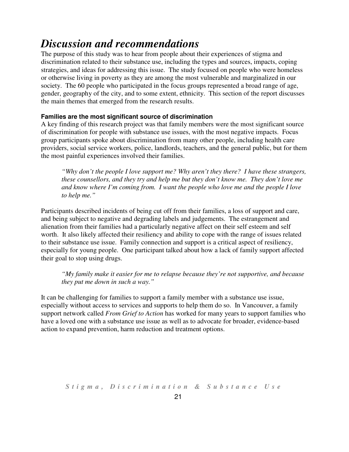# <span id="page-20-0"></span>*Discussion and recommendations*

The purpose of this study was to hear from people about their experiences of stigma and discrimination related to their substance use, including the types and sources, impacts, coping strategies, and ideas for addressing this issue. The study focused on people who were homeless or otherwise living in poverty as they are among the most vulnerable and marginalized in our society. The 60 people who participated in the focus groups represented a broad range of age, gender, geography of the city, and to some extent, ethnicity. This section of the report discusses the main themes that emerged from the research results.

#### **Families are the most significant source of discrimination**

A key finding of this research project was that family members were the most significant source of discrimination for people with substance use issues, with the most negative impacts. Focus group participants spoke about discrimination from many other people, including health care providers, social service workers, police, landlords, teachers, and the general public, but for them the most painful experiences involved their families.

*"Why don't the people I love support me? Why aren't they there? I have these strangers, these counsellors, and they try and help me but they don't know me. They don't love me and know where I'm coming from. I want the people who love me and the people I love to help me."* 

Participants described incidents of being cut off from their families, a loss of support and care, and being subject to negative and degrading labels and judgements. The estrangement and alienation from their families had a particularly negative affect on their self esteem and self worth. It also likely affected their resiliency and ability to cope with the range of issues related to their substance use issue. Family connection and support is a critical aspect of resiliency, especially for young people. One participant talked about how a lack of family support affected their goal to stop using drugs.

*"My family make it easier for me to relapse because they're not supportive, and because they put me down in such a way."* 

It can be challenging for families to support a family member with a substance use issue, especially without access to services and supports to help them do so. In Vancouver, a family support network called *From Grief to Action* has worked for many years to support families who have a loved one with a substance use issue as well as to advocate for broader, evidence-based action to expand prevention, harm reduction and treatment options.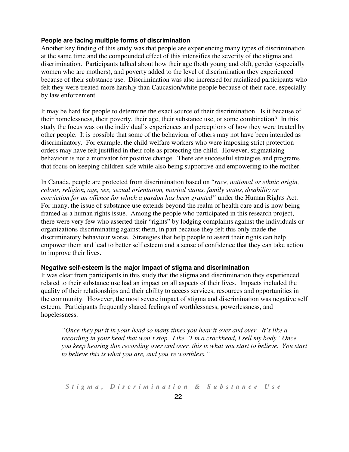#### **People are facing multiple forms of discrimination**

Another key finding of this study was that people are experiencing many types of discrimination at the same time and the compounded effect of this intensifies the severity of the stigma and discrimination. Participants talked about how their age (both young and old), gender (especially women who are mothers), and poverty added to the level of discrimination they experienced because of their substance use. Discrimination was also increased for racialized participants who felt they were treated more harshly than Caucasion/white people because of their race, especially by law enforcement.

It may be hard for people to determine the exact source of their discrimination. Is it because of their homelessness, their poverty, their age, their substance use, or some combination? In this study the focus was on the individual's experiences and perceptions of how they were treated by other people. It is possible that some of the behaviour of others may not have been intended as discriminatory. For example, the child welfare workers who were imposing strict protection orders may have felt justified in their role as protecting the child. However, stigmatizing behaviour is not a motivator for positive change. There are successful strategies and programs that focus on keeping children safe while also being supportive and empowering to the mother.

In Canada, people are protected from discrimination based on "*race, national or ethnic origin, colour, religion, age, sex, sexual orientation, marital status, family status, disability or conviction for an offence for which a pardon has been granted"* under the Human Rights Act. For many, the issue of substance use extends beyond the realm of health care and is now being framed as a human rights issue. Among the people who participated in this research project, there were very few who asserted their "rights" by lodging complaints against the individuals or organizations discriminating against them, in part because they felt this only made the discriminatory behaviour worse. Strategies that help people to assert their rights can help empower them and lead to better self esteem and a sense of confidence that they can take action to improve their lives.

#### **Negative self-esteem is the major impact of stigma and discrimination**

It was clear from participants in this study that the stigma and discrimination they experienced related to their substance use had an impact on all aspects of their lives. Impacts included the quality of their relationships and their ability to access services, resources and opportunities in the community. However, the most severe impact of stigma and discrimination was negative self esteem. Participants frequently shared feelings of worthlessness, powerlessness, and hopelessness.

*"Once they put it in your head so many times you hear it over and over. It's like a recording in your head that won't stop. Like, 'I'm a crackhead, I sell my body.' Once you keep hearing this recording over and over, this is what you start to believe. You start to believe this is what you are, and you're worthless."*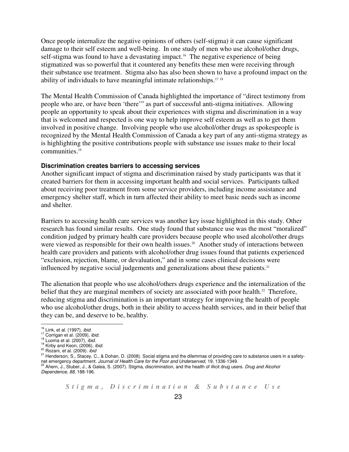Once people internalize the negative opinions of others (self-stigma) it can cause significant damage to their self esteem and well-being. In one study of men who use alcohol/other drugs, self-stigma was found to have a devastating impact.<sup>16</sup> The negative experience of being stigmatized was so powerful that it countered any benefits these men were receiving through their substance use treatment. Stigma also has also been shown to have a profound impact on the ability of individuals to have meaningful intimate relationships.<sup>17</sup> <sup>18</sup>

The Mental Health Commission of Canada highlighted the importance of "direct testimony from people who are, or have been 'there'" as part of successful anti-stigma initiatives. Allowing people an opportunity to speak about their experiences with stigma and discrimination in a way that is welcomed and respected is one way to help improve self esteem as well as to get them involved in positive change. Involving people who use alcohol/other drugs as spokespeople is recognized by the Mental Health Commission of Canada a key part of any anti-stigma strategy as is highlighting the positive contributions people with substance use issues make to their local communities.<sup>19</sup>

#### **Discrimination creates barriers to accessing services**

Another significant impact of stigma and discrimination raised by study participants was that it created barriers for them in accessing important health and social services. Participants talked about receiving poor treatment from some service providers, including income assistance and emergency shelter staff, which in turn affected their ability to meet basic needs such as income and shelter.

Barriers to accessing health care services was another key issue highlighted in this study. Other research has found similar results. One study found that substance use was the most "moralized" condition judged by primary health care providers because people who used alcohol/other drugs were viewed as responsible for their own health issues.<sup>20</sup> Another study of interactions between health care providers and patients with alcohol/other drug issues found that patients experienced "exclusion, rejection, blame, or devaluation," and in some cases clinical decisions were influenced by negative social judgements and generalizations about these patients. $2<sup>1</sup>$ 

The alienation that people who use alcohol/others drugs experience and the internalization of the belief that they are marginal members of society are associated with poor health.<sup>22</sup> Therefore, reducing stigma and discrimination is an important strategy for improving the health of people who use alcohol/other drugs, both in their ability to access health services, and in their belief that they can be, and deserve to be, healthy.

<sup>19</sup> Kirby and Keon, (2006), ibid.

 $16$  Link, et al. (1997), ibid.

<sup>&</sup>lt;sup>17</sup> Corrigan et al. (2009), ibid.

<sup>&</sup>lt;sup>18</sup> Luoma et al. (2007), *ibid.* 

<sup>&</sup>lt;sup>20</sup> Rozani, et al. (2009). *ibid* 

<sup>&</sup>lt;sup>21</sup> Henderson, S., Stacey, C., & Dohan, D. (2008). Social stigma and the dilemmas of providing care to substance users in a safetynet emergency department. *Journal of Health Care for the Poor and Underserved,* 19, 1336-1349.<br><sup>22</sup> Ahern, J., Stuber, J., & Galea, S. (2007). Stigma, discrimination, and the health of illicit drug users. *Drug and Alcoho* 

Dependence, 88, 188-196.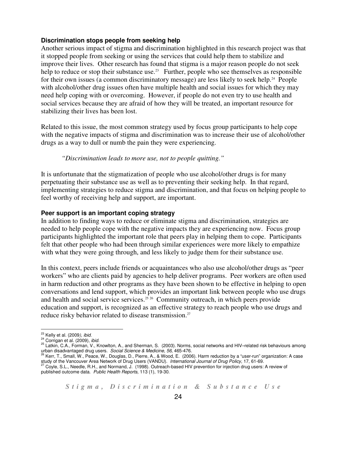#### **Discrimination stops people from seeking help**

Another serious impact of stigma and discrimination highlighted in this research project was that it stopped people from seeking or using the services that could help them to stabilize and improve their lives. Other research has found that stigma is a major reason people do not seek help to reduce or stop their substance use.<sup>23</sup> Further, people who see themselves as responsible for their own issues (a common discriminatory message) are less likely to seek help.<sup>24</sup> People with alcohol/other drug issues often have multiple health and social issues for which they may need help coping with or overcoming. However, if people do not even try to use health and social services because they are afraid of how they will be treated, an important resource for stabilizing their lives has been lost.

Related to this issue, the most common strategy used by focus group participants to help cope with the negative impacts of stigma and discrimination was to increase their use of alcohol/other drugs as a way to dull or numb the pain they were experiencing.

*"Discrimination leads to more use, not to people quitting."* 

It is unfortunate that the stigmatization of people who use alcohol/other drugs is for many perpetuating their substance use as well as to preventing their seeking help. In that regard, implementing strategies to reduce stigma and discrimination, and that focus on helping people to feel worthy of receiving help and support, are important.

#### **Peer support is an important coping strategy**

In addition to finding ways to reduce or eliminate stigma and discrimination, strategies are needed to help people cope with the negative impacts they are experiencing now. Focus group participants highlighted the important role that peers play in helping them to cope. Participants felt that other people who had been through similar experiences were more likely to empathize with what they were going through, and less likely to judge them for their substance use.

In this context, peers include friends or acquaintances who also use alcohol/other drugs as "peer workers" who are clients paid by agencies to help deliver programs. Peer workers are often used in harm reduction and other programs as they have been shown to be effective in helping to open conversations and lend support, which provides an important link between people who use drugs and health and social service services.<sup>25 26</sup> Community outreach, in which peers provide education and support, is recognized as an effective strategy to reach people who use drugs and reduce risky behavior related to disease transmission.<sup>27</sup>

published outcome data. Public Health Reports, 113 (1), 19-30.

<sup>&</sup>lt;sup>23</sup> Kelly et al. (2009), ibid.

<sup>&</sup>lt;sup>24</sup> Corrigan et al. (2009), ibid.

<sup>25</sup> Latkin, C.A., Forman, V., Knowlton, A., and Sherman, S. (2003). Norms, social networks and HIV–related risk behaviours among urban disadvantaged drug users. *Social Science & Medicine, 56*, 465-476.<br><sup>26</sup> Kerr, T., Small, W., Peace, W., Douglas, D., Pierre, A., & Wood, E. (2006). Harm reduction by a "user-run" organization: A case

study of the Vancouver Area Network of Drug Users (VANDU). *International Journal of Drug Policy,* 17, 61-69.<br><sup>27</sup> Coyle, S.L., Needle, R.H., and Normand, J. (1998). Outreach-based HIV prevention for injection drug users: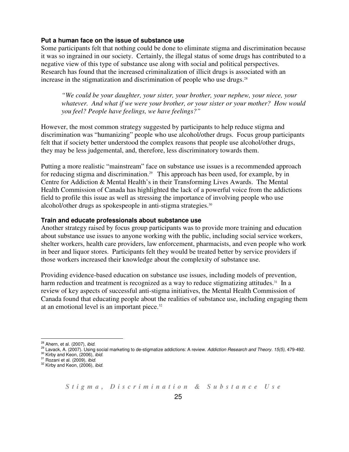#### **Put a human face on the issue of substance use**

Some participants felt that nothing could be done to eliminate stigma and discrimination because it was so ingrained in our society. Certainly, the illegal status of some drugs has contributed to a negative view of this type of substance use along with social and political perspectives. Research has found that the increased criminalization of illicit drugs is associated with an increase in the stigmatization and discrimination of people who use drugs. $28$ 

*"We could be your daughter, your sister, your brother, your nephew, your niece, your whatever. And what if we were your brother, or your sister or your mother? How would you feel? People have feelings, we have feelings?"* 

However, the most common strategy suggested by participants to help reduce stigma and discrimination was "humanizing" people who use alcohol/other drugs. Focus group participants felt that if society better understood the complex reasons that people use alcohol/other drugs, they may be less judgemental, and, therefore, less discriminatory towards them.

Putting a more realistic "mainstream" face on substance use issues is a recommended approach for reducing stigma and discrimination.<sup>29</sup> This approach has been used, for example, by in Centre for Addiction & Mental Health's in their Transforming Lives Awards. The Mental Health Commission of Canada has highlighted the lack of a powerful voice from the addictions field to profile this issue as well as stressing the importance of involving people who use alcohol/other drugs as spokespeople in anti-stigma strategies.<sup>30</sup>

#### **Train and educate professionals about substance use**

Another strategy raised by focus group participants was to provide more training and education about substance use issues to anyone working with the public, including social service workers, shelter workers, health care providers, law enforcement, pharmacists, and even people who work in beer and liquor stores. Participants felt they would be treated better by service providers if those workers increased their knowledge about the complexity of substance use.

Providing evidence-based education on substance use issues, including models of prevention, harm reduction and treatment is recognized as a way to reduce stigmatizing attitudes.<sup>31</sup> In a review of key aspects of successful anti-stigma initiatives, the Mental Health Commission of Canada found that educating people about the realities of substance use, including engaging them at an emotional level is an important piece.<sup>32</sup>

 $28$  Ahern, et al. (2007), ibid.

<sup>29</sup> Lavack, A. (2007). Using social marketing to de-stigmatize addictions: A review. Addiction Research and Theory. 15(5), 479-492.

<sup>&</sup>lt;sup>30</sup> Kirby and Keon, (2006), *ibid.* 

 $31$  Rozani et al. (2009), ibid.  $32$  Kirby and Keon, (2006), ibid.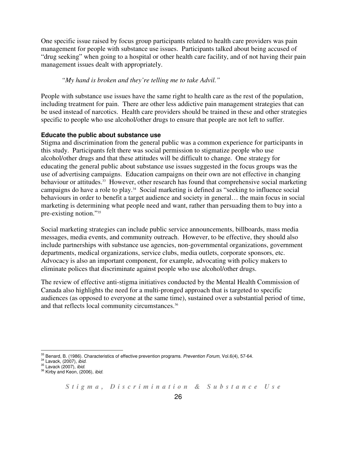One specific issue raised by focus group participants related to health care providers was pain management for people with substance use issues. Participants talked about being accused of "drug seeking" when going to a hospital or other health care facility, and of not having their pain management issues dealt with appropriately.

#### *"My hand is broken and they're telling me to take Advil."*

People with substance use issues have the same right to health care as the rest of the population, including treatment for pain. There are other less addictive pain management strategies that can be used instead of narcotics. Health care providers should be trained in these and other strategies specific to people who use alcohol/other drugs to ensure that people are not left to suffer.

#### **Educate the public about substance use**

Stigma and discrimination from the general public was a common experience for participants in this study. Participants felt there was social permission to stigmatize people who use alcohol/other drugs and that these attitudes will be difficult to change. One strategy for educating the general public about substance use issues suggested in the focus groups was the use of advertising campaigns. Education campaigns on their own are not effective in changing behaviour or attitudes.<sup>33</sup> However, other research has found that comprehensive social marketing campaigns do have a role to play.<sup>34</sup> Social marketing is defined as "seeking to influence social behaviours in order to benefit a target audience and society in general… the main focus in social marketing is determining what people need and want, rather than persuading them to buy into a pre-existing notion."<sup>35</sup>

Social marketing strategies can include public service announcements, billboards, mass media messages, media events, and community outreach. However, to be effective, they should also include partnerships with substance use agencies, non-governmental organizations, government departments, medical organizations, service clubs, media outlets, corporate sponsors, etc. Advocacy is also an important component, for example, advocating with policy makers to eliminate polices that discriminate against people who use alcohol/other drugs.

The review of effective anti-stigma initiatives conducted by the Mental Health Commission of Canada also highlights the need for a multi-pronged approach that is targeted to specific audiences (as opposed to everyone at the same time), sustained over a substantial period of time, and that reflects local community circumstances.<sup>36</sup>

 $\frac{33}{2}$  Benard, B. (1986). Characteristics of effective prevention programs. Prevention Forum, Vol.6(4), 57-64.

<sup>&</sup>lt;sup>34</sup> Lavack, (2007), *ibid.* 

 $35$  Lavack (2007), ibid.

<sup>36</sup> Kirby and Keon, (2006), ibid.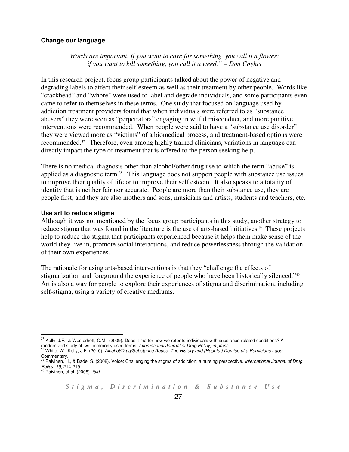#### **Change our language**

*Words are important. If you want to care for something, you call it a flower: if you want to kill something, you call it a weed." – Don Coyhis* 

In this research project, focus group participants talked about the power of negative and degrading labels to affect their self-esteem as well as their treatment by other people. Words like "crackhead" and "whore" were used to label and degrade individuals, and some participants even came to refer to themselves in these terms. One study that focused on language used by addiction treatment providers found that when individuals were referred to as "substance abusers" they were seen as "perpetrators" engaging in wilful misconduct, and more punitive interventions were recommended. When people were said to have a "substance use disorder" they were viewed more as "victims" of a biomedical process, and treatment-based options were recommended.37 Therefore, even among highly trained clinicians, variations in language can directly impact the type of treatment that is offered to the person seeking help.

There is no medical diagnosis other than alcohol/other drug use to which the term "abuse" is applied as a diagnostic term.<sup>38</sup> This language does not support people with substance use issues to improve their quality of life or to improve their self esteem. It also speaks to a totality of identity that is neither fair nor accurate. People are more than their substance use, they are people first, and they are also mothers and sons, musicians and artists, students and teachers, etc.

#### **Use art to reduce stigma**

Although it was not mentioned by the focus group participants in this study, another strategy to reduce stigma that was found in the literature is the use of arts-based initiatives.<sup>39</sup> These projects help to reduce the stigma that participants experienced because it helps them make sense of the world they live in, promote social interactions, and reduce powerlessness through the validation of their own experiences.

The rationale for using arts-based interventions is that they "challenge the effects of stigmatization and foreground the experience of people who have been historically silenced."<sup>40</sup> Art is also a way for people to explore their experiences of stigma and discrimination, including self-stigma, using a variety of creative mediums.

<sup>&</sup>lt;sup>37</sup> Kelly, J.F., & Westerhoff, C.M., (2009). Does it matter how we refer to individuals with substance-related conditions? A

randomized study of two commonly used terms. I*nternational Journal of Drug Policy, in press.*<br><sup>38</sup> White, W., Kelly, J.F. (2010). *Alcohol/Drug/Substance Abuse: The History and (Hopeful) Demise of a Pernicious Label.* 

Commentary.<br><sup>39</sup> Paivinen, H., & Bade, S. (2008). Voice: Challenging the stigma of addiction; a nursing perspective. *International Journal of Drug Policy, 19,* 214-219<br><sup>40</sup> Paivinen, et al. (2008). *ibid.*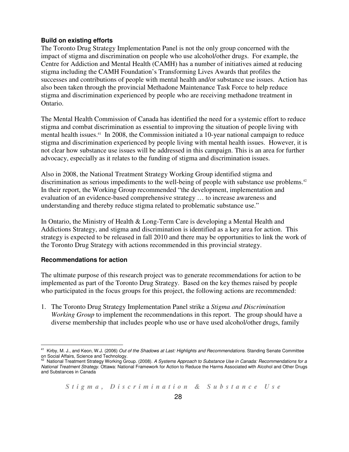#### **Build on existing efforts**

The Toronto Drug Strategy Implementation Panel is not the only group concerned with the impact of stigma and discrimination on people who use alcohol/other drugs. For example, the Centre for Addiction and Mental Health (CAMH) has a number of initiatives aimed at reducing stigma including the CAMH Foundation's Transforming Lives Awards that profiles the successes and contributions of people with mental health and/or substance use issues. Action has also been taken through the provincial Methadone Maintenance Task Force to help reduce stigma and discrimination experienced by people who are receiving methadone treatment in Ontario.

The Mental Health Commission of Canada has identified the need for a systemic effort to reduce stigma and combat discrimination as essential to improving the situation of people living with mental health issues.<sup>41</sup> In 2008, the Commission initiated a 10-year national campaign to reduce stigma and discrimination experienced by people living with mental health issues. However, it is not clear how substance use issues will be addressed in this campaign. This is an area for further advocacy, especially as it relates to the funding of stigma and discrimination issues.

Also in 2008, the National Treatment Strategy Working Group identified stigma and discrimination as serious impediments to the well-being of people with substance use problems.<sup>42</sup> In their report, the Working Group recommended "the development, implementation and evaluation of an evidence-based comprehensive strategy … to increase awareness and understanding and thereby reduce stigma related to problematic substance use."

In Ontario, the Ministry of Health & Long-Term Care is developing a Mental Health and Addictions Strategy, and stigma and discrimination is identified as a key area for action. This strategy is expected to be released in fall 2010 and there may be opportunities to link the work of the Toronto Drug Strategy with actions recommended in this provincial strategy.

#### **Recommendations for action**

The ultimate purpose of this research project was to generate recommendations for action to be implemented as part of the Toronto Drug Strategy. Based on the key themes raised by people who participated in the focus groups for this project, the following actions are recommended:

1. The Toronto Drug Strategy Implementation Panel strike a *Stigma and Discrimination Working Group* to implement the recommendations in this report. The group should have a diverse membership that includes people who use or have used alcohol/other drugs, family

<sup>&</sup>lt;sup>41</sup> Kirby, M. J., and Keon, W.J. (2006) Out of the Shadows at Last: Highlights and Recommendations. Standing Senate Committee on Social Affairs, Science and Technology.<br><sup>42</sup> National Tractment City

National Treatment Strategy Working Group. (2008). A Systems Approach to Substance Use in Canada: Recommendations for a National Treatment Strategy. Ottawa: National Framework for Action to Reduce the Harms Associated with Alcohol and Other Drugs and Substances in Canada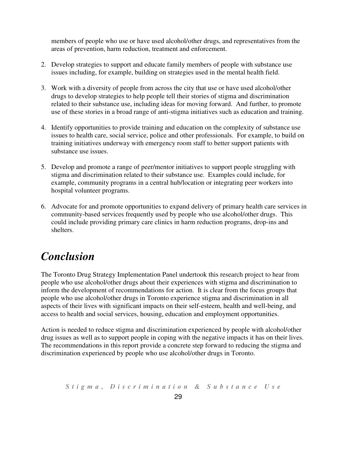<span id="page-28-0"></span>members of people who use or have used alcohol/other drugs, and representatives from the areas of prevention, harm reduction, treatment and enforcement.

- 2. Develop strategies to support and educate family members of people with substance use issues including, for example, building on strategies used in the mental health field.
- 3. Work with a diversity of people from across the city that use or have used alcohol/other drugs to develop strategies to help people tell their stories of stigma and discrimination related to their substance use, including ideas for moving forward. And further, to promote use of these stories in a broad range of anti-stigma initiatives such as education and training.
- 4. Identify opportunities to provide training and education on the complexity of substance use issues to health care, social service, police and other professionals. For example, to build on training initiatives underway with emergency room staff to better support patients with substance use issues.
- 5. Develop and promote a range of peer/mentor initiatives to support people struggling with stigma and discrimination related to their substance use. Examples could include, for example, community programs in a central hub/location or integrating peer workers into hospital volunteer programs.
- 6. Advocate for and promote opportunities to expand delivery of primary health care services in community-based services frequently used by people who use alcohol/other drugs. This could include providing primary care clinics in harm reduction programs, drop-ins and shelters.

# *Conclusion*

The Toronto Drug Strategy Implementation Panel undertook this research project to hear from people who use alcohol/other drugs about their experiences with stigma and discrimination to inform the development of recommendations for action. It is clear from the focus groups that people who use alcohol/other drugs in Toronto experience stigma and discrimination in all aspects of their lives with significant impacts on their self-esteem, health and well-being, and access to health and social services, housing, education and employment opportunities.

Action is needed to reduce stigma and discrimination experienced by people with alcohol/other drug issues as well as to support people in coping with the negative impacts it has on their lives. The recommendations in this report provide a concrete step forward to reducing the stigma and discrimination experienced by people who use alcohol/other drugs in Toronto.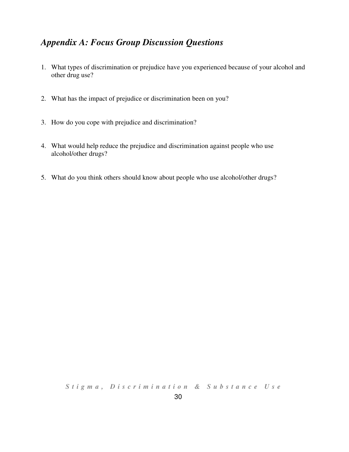### <span id="page-29-0"></span>*Appendix A: Focus Group Discussion Questions*

- 1. What types of discrimination or prejudice have you experienced because of your alcohol and other drug use?
- 2. What has the impact of prejudice or discrimination been on you?
- 3. How do you cope with prejudice and discrimination?
- 4. What would help reduce the prejudice and discrimination against people who use alcohol/other drugs?
- 5. What do you think others should know about people who use alcohol/other drugs?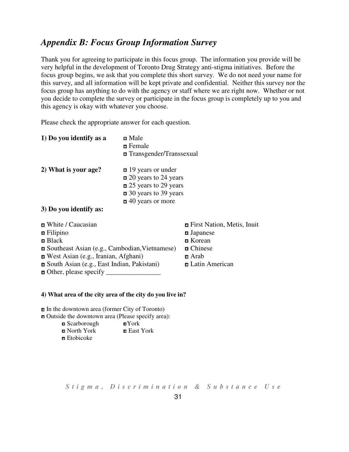### <span id="page-30-0"></span>*Appendix B: Focus Group Information Survey*

Thank you for agreeing to participate in this focus group. The information you provide will be very helpful in the development of Toronto Drug Strategy anti-stigma initiatives. Before the focus group begins, we ask that you complete this short survey. We do not need your name for this survey, and all information will be kept private and confidential. Neither this survey nor the focus group has anything to do with the agency or staff where we are right now. Whether or not you decide to complete the survey or participate in the focus group is completely up to you and this agency is okay with whatever you choose.

Please check the appropriate answer for each question.

| 1) Do you identify as a | <b>□</b> Male<br>$\blacksquare$ Female                                                                        |
|-------------------------|---------------------------------------------------------------------------------------------------------------|
|                         | <b>□</b> Transgender/Transsexual                                                                              |
| 2) What is your age?    | $\Box$ 19 years or under<br>□ 20 years to 24 years<br><b>□</b> 25 years to 29 years<br>■ 30 years to 39 years |
|                         | $\Box$ 40 years or more                                                                                       |

#### **3) Do you identify as:**

| ■ White / Caucasian                             | First Nation, Metis, Inuit |
|-------------------------------------------------|----------------------------|
| $\blacksquare$ Filipino                         | $\blacksquare$ Japanese    |
| $\blacksquare$ Black                            | ■ Korean                   |
| ■ Southeast Asian (e.g., Cambodian, Vietnamese) | <b>□</b> Chinese           |
| <b>E</b> West Asian (e.g., Iranian, Afghani)    | $\blacksquare$ Arab        |
| South Asian (e.g., East Indian, Pakistani)      | ■ Latin American           |
| $\Box$ Other, please specify $\Box$             |                            |

#### **4) What area of the city area of the city do you live in?**

■ In the downtown area (former City of Toronto) **□** Outside the downtown area (Please specify area):<br>
□ Scarborough ■ York

■ Scarborough □ North York □ East York  $\blacksquare$  Etobicoke